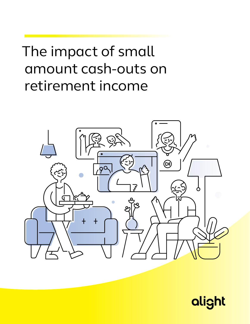# The impact of small amount cash-outs on retirement income



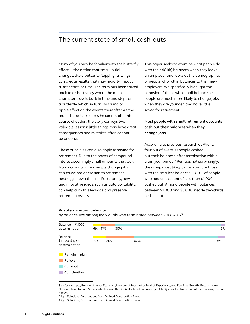## The current state of small cash-outs

Many of you may be familiar with the butterfly effect — the notion that small initial changes, like a butterfly flapping its wings, can create results that may majorly impact a later state or time. The term has been traced back to a short story where the main character travels back in time and steps on a butterfly, which, in turn, has a major ripple effect on the events thereafter. As the main character realizes he cannot alter his course of action, the story conveys two valuable lessons: little things may have great consequences and mistakes often cannot be undone.

These principles can also apply to saving for retirement. Due to the power of compound interest, seemingly small amounts that leak from accounts when people change jobs can cause major erosion to retirement nest-eggs down the line. Fortunately, new andinnovative ideas, such as auto portability, can help curb this leakage and preserve retirement assets.

This paper seeks to examine what people do with their 401(k) balances when they leave an employer and looks at the demographics of people who roll in balances to their new employers. We specifically highlight the behavior of those with small balances as people are much more likely to change jobs when they are younger<sup>1</sup> and have little saved for retirement.

## **Most people with small retirement accounts cash out their balances when they change jobs**

According to previous research at Alight, four out of every 10 people cashed out their balances after termination within a ten-year period.<sup>2</sup> Perhaps not surprisingly, the group most likely to cash out are those with the smallest balances — 80% of people who had an account of less than \$1,000 cashed out. Among people with balances between \$1,000 and \$5,000, nearly two-thirds cashed out.

#### **Post-termination behavior**

by balance size among individuals who terminated between 2008-20173

| Balance < \$1,000                 |        |     |     |     | . . |  |    |
|-----------------------------------|--------|-----|-----|-----|-----|--|----|
| at termination                    | 6% 11% |     | 80% |     |     |  | 3% |
| Balance                           |        |     |     |     |     |  |    |
| \$1,000-\$4,999<br>at termination | 10%    | 21% |     | 62% |     |  | 6% |
| Remain in plan<br><b>Contract</b> |        |     |     |     |     |  |    |
| Rollover                          |        |     |     |     |     |  |    |
| Cash-out                          |        |     |     |     |     |  |    |
| Combination                       |        |     |     |     |     |  |    |

<sup>1</sup> See, for example, Bureau of Labor Statistics, Number of Jobs, Labor Market Experience, and Earnings Growth: Results from a National Longitudinal Survey, which shows that individuals held an average of 12.3 jobs with almost half of them coming before age 24.

<sup>2</sup> Alight Solutions, Distributions from Defined Contribution Plans

<sup>&</sup>lt;sup>3</sup> Alight Solutions, Distributions from Defined Contribution Plans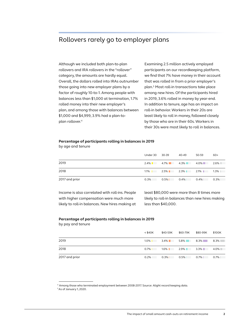# Rollovers rarely go to employer plans

Although we included both plan-to-plan rollovers and IRA rollovers in the "rollover" category, the amounts are hardly equal. Overall, the dollars rolled into IRAs outnumber those going into new employer plans by a factor of roughly 10-to-1. Among people with balances less than \$1,000 at termination, 1.7% rolled money into their new employer's plan, and among those with balances between \$1,000 and \$4,999, 3.9% had a plan-toplan rollover.4

Examining 2.5 million actively employed participants on our recordkeeping platform, we find that 7% have money in their account that was rolled in from a prior employer's plan.5 Most roll-in transactions take place among new hires. Of the participants hired in 2019, 3.6% rolled in money by year-end. In addition to tenure, age has an impact on roll-in behavior. Workers in their 20s are least likely to roll in money, followed closely by those who are in their 60s. Workers in their 30s were most likely to roll in balances.

#### **Percentage of participants rolling in balances in 2019** by age and tenure

|                | Under 30 | 30-39        | 40-49   | 50-59   | $60+$   |
|----------------|----------|--------------|---------|---------|---------|
| 2019           | $2.4\%$  | $4.7\%$      | $4.3\%$ | $4.0\%$ | $2.6\%$ |
| 2018           | $1.1\%$  | $2.5\%$ 2.3% |         | $2.1\%$ | $1.3\%$ |
| 2017 and prior | $0.3\%$  | $0.5\%$      | 0.4%    | $0.4\%$ | 0.3%    |

Income is also correlated with roll-ins. People with higher compensation were much more likely to roll-in balances. New hires making at least \$80,000 were more than 8 times more likely to roll-in balances than new hires making less than \$40,000.

#### **Percentage of participants rolling in balances in 2019**

by pay and tenure

|                | < \$40K |         | \$40-59K \$60-79K \$80-99K |                   | \$100K  |
|----------------|---------|---------|----------------------------|-------------------|---------|
| 2019           | $1.0\%$ | $3.4\%$ |                            | 5.8% 8.3%         | $8.3\%$ |
| 2018           | $0.7\%$ |         |                            | $1.6\%$ 2.9% 3.3% | 4.0%    |
| 2017 and prior | $0.2\%$ | $0.3\%$ | $0.5\%$                    | $0.7\%$           | $0.7\%$ |

<sup>4</sup> Among those who terminated employment between 2008-2017. Source: Alight record keeping data.

<sup>5</sup> As of January 1, 2020.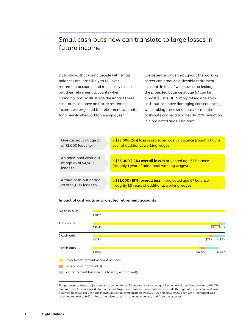# Small cash-outs now can translate to large losses in future income

Data shows that young people with small balances are least likely to roll over retirement accounts and most likely to cash out their retirement accounts when changing jobs. To illustrate the impact these cash-outs can have on future retirement income, we projected the retirement accounts for a new-to-the-workforce employee.<sup>6</sup>

Consistent savings throughout the working career can produce a sizeable retirement account. In fact, if we assume no leakage, the projected balance at age 67 can be almost \$500,000. Simply taking one early cash-out can have damaging consequences, while taking three small post-termination cash-outs can lead to a nearly 20% reduction in a projected age 67 balance.

| One cash-out at age 24<br>of \$3,000 leads to:              | a \$23,000 (5%) loss in projected age 67 balance (roughly half a<br>year of additional working wages)     |
|-------------------------------------------------------------|-----------------------------------------------------------------------------------------------------------|
| An additional cash-out<br>at age 26 of \$4,500<br>leads to: | a \$56,000 (12%) overall loss in projected age 67 balance<br>(roughly 1 year of additional working wages) |
| A third cash-out at age                                     | a \$91,000 (19%) overall loss in projected age 67 balance                                                 |
| 28 of \$5,000 leads to:                                     | (roughly 1.5 years of additional working wages)                                                           |

### **Impact of cash-outs on projected retirement accounts**

| No cash-outs             |                                      |         |         |
|--------------------------|--------------------------------------|---------|---------|
|                          | \$484K                               |         |         |
| 1 cash-outs              |                                      |         |         |
|                          | \$416K                               | \$3K    | \$20K   |
| 2 cash-outs              |                                      |         |         |
|                          | \$428K                               | \$7.5K  | \$48.5K |
| 3 cash-outs              |                                      |         |         |
|                          | \$393K                               | \$12.5K | \$78.5K |
| <b>I</b>                 | Projected retirement account balance |         |         |
| Early cash-out amount(s) |                                      |         |         |

**Lost retirement balance due to early withdrawal(s)** 

<sup>6</sup> For purposes of these projections, we assumed that a 22-year-old starts saving at 3% and escalates 1% each year to 6%. The plan matches 50 cents-per-dollar on the employee contributions. Contributions are made throughout the year. Interest was assumed to be 5% per year. The individual's initial compensation was \$25,000 and grew by 2% each year. Retirement was assumed to be at age 67. Unless otherwise stated, no other leakage occurred from the account.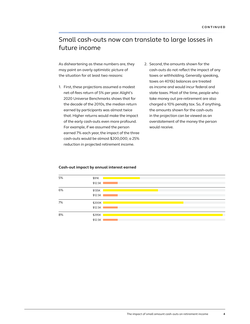# Small cash-outs now can translate to large losses in future income

As disheartening as these numbers are, they may paint an overly optimistic picture of the situation for at least two reasons:

- 1. First, these projections assumed a modest net-of-fees return of 5% per year. Alight's 2020 Universe Benchmarks shows that for the decade of the 2010s, the median return earned by participants was almost twice that. Higher returns would make the impact of the early cash-outs even more profound. For example, if we assumed the person earned 7% each year, the impact of the three cash-outs would be almost \$200,000; a 25% reduction in projected retirement income.
- 2. Second, the amounts shown for the cash-outs do not reflect the impact of any taxes or withholding. Generally speaking, taxes on 401(k) balances are treated as income and would incur federal and state taxes. Most of the time, people who take money out pre-retirement are also charged a 10% penalty tax. So, if anything, the amounts shown for the cash-outs in the projection can be viewed as an overstatement of the money the person would receive.

#### **Cash-out impact by annual interest earned**

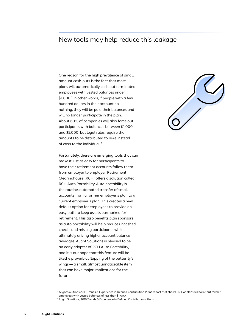# New tools may help reduce this leakage

One reason for the high prevalence of small amount cash-outs is the fact that most plans will automatically cash out terminated employees with vested balances under \$1,000.7 In other words, if people with a few hundred dollars in their account do nothing, they will be paid their balances and will no longer participate in the plan. About 60% of companies will also force out participants with balances between \$1,000 and \$5,000, but legal rules require the amounts to be distributed to IRAs instead of cash to the individual.<sup>8</sup>

Fortunately, there are emerging tools that can make it just as easy for participants to have their retirement accounts follow them from employer to employer. Retirement Clearinghouse (RCH) offers a solution called RCH Auto Portability. Auto portability is the routine, automated transfer of small accounts from a former employer's plan to a current employer's plan. This creates a new default option for employees to provide an easy path to keep assets earmarked for retirement. This also benefits plan sponsors as auto portability will help reduce uncashed checks and missing participants while ultimately driving higher account balance averages. Alight Solutions is pleased to be an early adopter of RCH Auto Portability, and it is our hope that this feature will be likethe proverbial flapping of the butterfly's wings — a small, almost unnoticeable item that can have major implications for the future.



<sup>7</sup> Alight Solutions 2019 Trends & Experience in Defined Contribution Plans report that shows 96% of plans will force out former employees with vested balances of less than \$1,000.

<sup>&</sup>lt;sup>8</sup> Alight Solutions, 2019 Trends & Experience in Defined Contributions Plans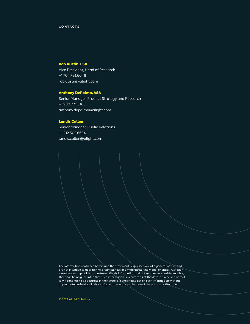#### Rob Austin, FSA

Vice President, Head of Research +1.704.791.6048 [rob.austin@alight.com](mailto:ray.baumruk%40alight.com?subject=)

## Anthony DePalma, ASA

Senior Manager, Product Strategy and Research +1.980.771.5166 anthony.depalm[a@alight.com](mailto:laine.thomas%40alight.com%20?subject=) 

## Landis Cullen

Senior Manager, Public Relations +1.312.505.6694 landis.cullen[@alight.com](mailto:christin.devcich%40alight.com?subject=)

The information contained herein and the statements expressed are of a general nature and are not intended to address the circumstances of any particular individual or entity. Although we endeavor to provide accurate and timely information and use sources we consider reliable, there can be no guarantee that such information is accurate as of the date it is received or that it will continue to be accurate in the future. No one should act on such information without appropriate professional advice after a thorough examination of the particular situation.

© 2021 Alight Solutions